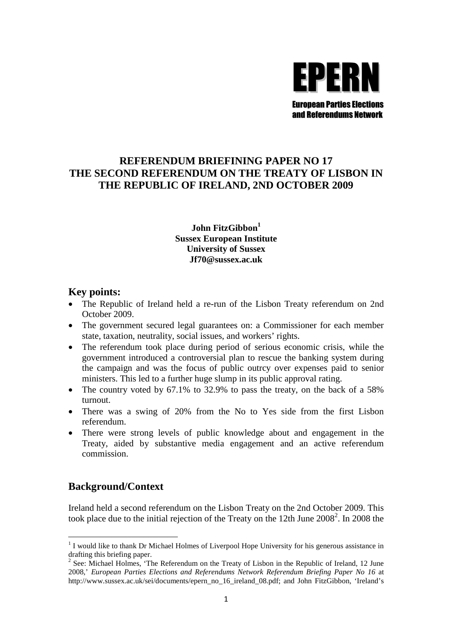

## **REFERENDUM BRIEFINING PAPER NO 17 THE SECOND REFERENDUM ON THE TREATY OF LISBON IN THE REPUBLIC OF IRELAND, 2ND OCTOBER 2009**

## **John FitzGibbon<sup>1</sup> Sussex European Institute University of Sussex Jf70@sussex.ac.uk**

## **Key points:**

- The Republic of Ireland held a re-run of the Lisbon Treaty referendum on 2nd October 2009.
- The government secured legal guarantees on: a Commissioner for each member state, taxation, neutrality, social issues, and workers' rights.
- The referendum took place during period of serious economic crisis, while the government introduced a controversial plan to rescue the banking system during the campaign and was the focus of public outrcy over expenses paid to senior ministers. This led to a further huge slump in its public approval rating.
- The country voted by 67.1% to 32.9% to pass the treaty, on the back of a 58% turnout.
- There was a swing of 20% from the No to Yes side from the first Lisbon referendum.
- There were strong levels of public knowledge about and engagement in the Treaty, aided by substantive media engagement and an active referendum commission.

## **Background/Context**

Ireland held a second referendum on the Lisbon Treaty on the 2nd October 2009. This took place due to the initial rejection of the Treaty on the 12th June  $2008^2$ . In 2008 the

<sup>&</sup>lt;sup>1</sup> I would like to thank Dr Michael Holmes of Liverpool Hope University for his generous assistance in drafting this briefing paper.

 $2^2$  See: Michael Holmes, 'The Referendum on the Treaty of Lisbon in the Republic of Ireland, 12 June 2008,' *European Parties Elections and Referendums Network Referendum Briefing Paper No 16* at http://www.sussex.ac.uk/sei/documents/epern\_no\_16\_ireland\_08.pdf; and John FitzGibbon, 'Ireland's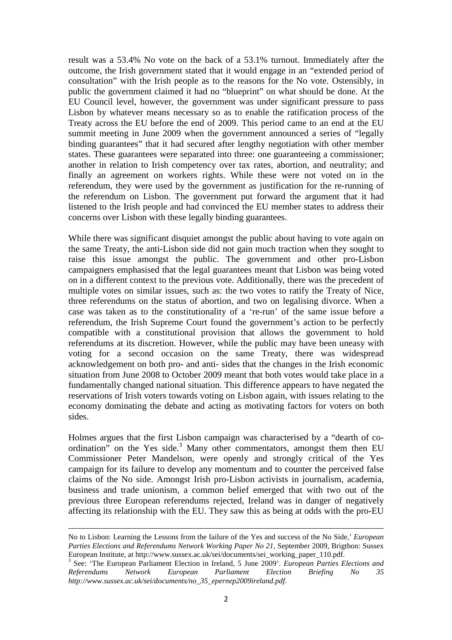result was a 53.4% No vote on the back of a 53.1% turnout. Immediately after the outcome, the Irish government stated that it would engage in an "extended period of consultation" with the Irish people as to the reasons for the No vote. Ostensibly, in public the government claimed it had no "blueprint" on what should be done. At the EU Council level, however, the government was under significant pressure to pass Lisbon by whatever means necessary so as to enable the ratification process of the Treaty across the EU before the end of 2009. This period came to an end at the EU summit meeting in June 2009 when the government announced a series of "legally binding guarantees" that it had secured after lengthy negotiation with other member states. These guarantees were separated into three: one guaranteeing a commissioner; another in relation to Irish competency over tax rates, abortion, and neutrality; and finally an agreement on workers rights. While these were not voted on in the referendum, they were used by the government as justification for the re-running of the referendum on Lisbon. The government put forward the argument that it had listened to the Irish people and had convinced the EU member states to address their concerns over Lisbon with these legally binding guarantees.

While there was significant disquiet amongst the public about having to vote again on the same Treaty, the anti-Lisbon side did not gain much traction when they sought to raise this issue amongst the public. The government and other pro-Lisbon campaigners emphasised that the legal guarantees meant that Lisbon was being voted on in a different context to the previous vote. Additionally, there was the precedent of multiple votes on similar issues, such as: the two votes to ratify the Treaty of Nice, three referendums on the status of abortion, and two on legalising divorce. When a case was taken as to the constitutionality of a 're-run' of the same issue before a referendum, the Irish Supreme Court found the government's action to be perfectly compatible with a constitutional provision that allows the government to hold referendums at its discretion. However, while the public may have been uneasy with voting for a second occasion on the same Treaty, there was widespread acknowledgement on both pro- and anti- sides that the changes in the Irish economic situation from June 2008 to October 2009 meant that both votes would take place in a fundamentally changed national situation. This difference appears to have negated the reservations of Irish voters towards voting on Lisbon again, with issues relating to the economy dominating the debate and acting as motivating factors for voters on both sides.

Holmes argues that the first Lisbon campaign was characterised by a "dearth of coordination" on the Yes side.<sup>3</sup> Many other commentators, amongst them then EU Commissioner Peter Mandelson, were openly and strongly critical of the Yes campaign for its failure to develop any momentum and to counter the perceived false claims of the No side. Amongst Irish pro-Lisbon activists in journalism, academia, business and trade unionism, a common belief emerged that with two out of the previous three European referendums rejected, Ireland was in danger of negatively affecting its relationship with the EU. They saw this as being at odds with the pro-EU

No to Lisbon: Learning the Lessons from the failure of the Yes and success of the No Side,' *European Parties Elections and Referendums Network Working Paper No 21*, September 2009, Brigthon: Sussex European Institute, at http://www.sussex.ac.uk/sei/documents/sei\_working\_paper\_110.pdf.

<sup>3</sup> See: 'The European Parliament Election in Ireland, 5 June 2009'. *European Parties Elections and Referendums Network European Parliament Election Briefing No 35 http://www.sussex.ac.uk/sei/documents/no\_35\_epernep2009ireland.pdf*.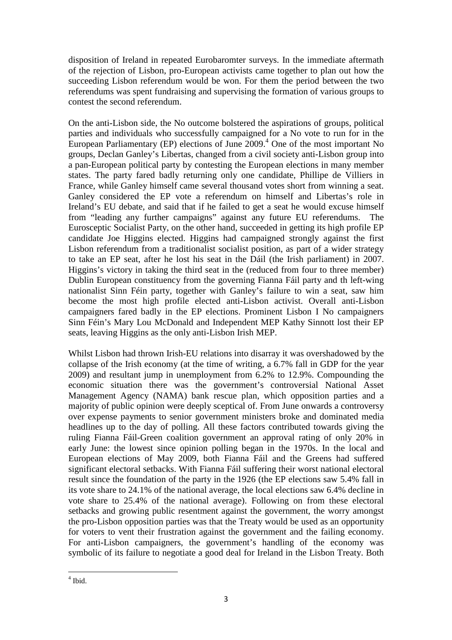disposition of Ireland in repeated Eurobaromter surveys. In the immediate aftermath of the rejection of Lisbon, pro-European activists came together to plan out how the succeeding Lisbon referendum would be won. For them the period between the two referendums was spent fundraising and supervising the formation of various groups to contest the second referendum.

On the anti-Lisbon side, the No outcome bolstered the aspirations of groups, political parties and individuals who successfully campaigned for a No vote to run for in the European Parliamentary (EP) elections of June  $2009<sup>4</sup>$  One of the most important No groups, Declan Ganley's Libertas, changed from a civil society anti-Lisbon group into a pan-European political party by contesting the European elections in many member states. The party fared badly returning only one candidate, Phillipe de Villiers in France, while Ganley himself came several thousand votes short from winning a seat. Ganley considered the EP vote a referendum on himself and Libertas's role in Ireland's EU debate, and said that if he failed to get a seat he would excuse himself from "leading any further campaigns" against any future EU referendums. The Eurosceptic Socialist Party, on the other hand, succeeded in getting its high profile EP candidate Joe Higgins elected. Higgins had campaigned strongly against the first Lisbon referendum from a traditionalist socialist position, as part of a wider strategy to take an EP seat, after he lost his seat in the Dáil (the Irish parliament) in 2007. Higgins's victory in taking the third seat in the (reduced from four to three member) Dublin European constituency from the governing Fianna Fáil party and th left-wing nationalist Sinn Féin party, together with Ganley's failure to win a seat, saw him become the most high profile elected anti-Lisbon activist. Overall anti-Lisbon campaigners fared badly in the EP elections. Prominent Lisbon I No campaigners Sinn Féin's Mary Lou McDonald and Independent MEP Kathy Sinnott lost their EP seats, leaving Higgins as the only anti-Lisbon Irish MEP.

Whilst Lisbon had thrown Irish-EU relations into disarray it was overshadowed by the collapse of the Irish economy (at the time of writing, a 6.7% fall in GDP for the year 2009) and resultant jump in unemployment from 6.2% to 12.9%. Compounding the economic situation there was the government's controversial National Asset Management Agency (NAMA) bank rescue plan, which opposition parties and a majority of public opinion were deeply sceptical of. From June onwards a controversy over expense payments to senior government ministers broke and dominated media headlines up to the day of polling. All these factors contributed towards giving the ruling Fianna Fáil-Green coalition government an approval rating of only 20% in early June: the lowest since opinion polling began in the 1970s. In the local and European elections of May 2009, both Fianna Fáil and the Greens had suffered significant electoral setbacks. With Fianna Fáil suffering their worst national electoral result since the foundation of the party in the 1926 (the EP elections saw 5.4% fall in its vote share to 24.1% of the national average, the local elections saw 6.4% decline in vote share to 25.4% of the national average). Following on from these electoral setbacks and growing public resentment against the government, the worry amongst the pro-Lisbon opposition parties was that the Treaty would be used as an opportunity for voters to vent their frustration against the government and the failing economy. For anti-Lisbon campaigners, the government's handling of the economy was symbolic of its failure to negotiate a good deal for Ireland in the Lisbon Treaty. Both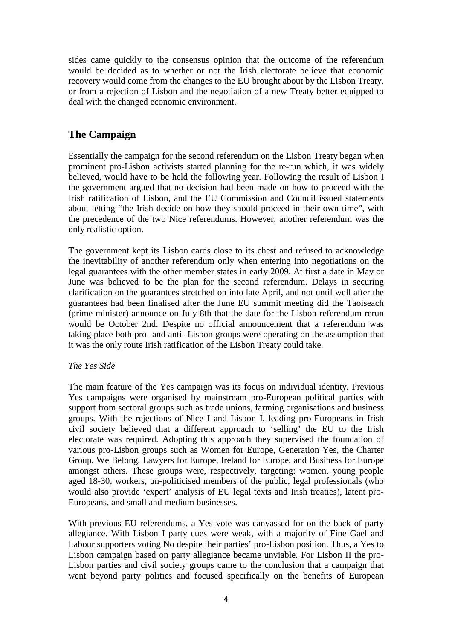sides came quickly to the consensus opinion that the outcome of the referendum would be decided as to whether or not the Irish electorate believe that economic recovery would come from the changes to the EU brought about by the Lisbon Treaty, or from a rejection of Lisbon and the negotiation of a new Treaty better equipped to deal with the changed economic environment.

# **The Campaign**

Essentially the campaign for the second referendum on the Lisbon Treaty began when prominent pro-Lisbon activists started planning for the re-run which, it was widely believed, would have to be held the following year. Following the result of Lisbon I the government argued that no decision had been made on how to proceed with the Irish ratification of Lisbon, and the EU Commission and Council issued statements about letting "the Irish decide on how they should proceed in their own time", with the precedence of the two Nice referendums. However, another referendum was the only realistic option.

The government kept its Lisbon cards close to its chest and refused to acknowledge the inevitability of another referendum only when entering into negotiations on the legal guarantees with the other member states in early 2009. At first a date in May or June was believed to be the plan for the second referendum. Delays in securing clarification on the guarantees stretched on into late April, and not until well after the guarantees had been finalised after the June EU summit meeting did the Taoiseach (prime minister) announce on July 8th that the date for the Lisbon referendum rerun would be October 2nd. Despite no official announcement that a referendum was taking place both pro- and anti- Lisbon groups were operating on the assumption that it was the only route Irish ratification of the Lisbon Treaty could take.

### *The Yes Side*

The main feature of the Yes campaign was its focus on individual identity. Previous Yes campaigns were organised by mainstream pro-European political parties with support from sectoral groups such as trade unions, farming organisations and business groups. With the rejections of Nice I and Lisbon I, leading pro-Europeans in Irish civil society believed that a different approach to 'selling' the EU to the Irish electorate was required. Adopting this approach they supervised the foundation of various pro-Lisbon groups such as Women for Europe, Generation Yes, the Charter Group, We Belong, Lawyers for Europe, Ireland for Europe, and Business for Europe amongst others. These groups were, respectively, targeting: women, young people aged 18-30, workers, un-politicised members of the public, legal professionals (who would also provide 'expert' analysis of EU legal texts and Irish treaties), latent pro-Europeans, and small and medium businesses.

With previous EU referendums, a Yes vote was canvassed for on the back of party allegiance. With Lisbon I party cues were weak, with a majority of Fine Gael and Labour supporters voting No despite their parties' pro-Lisbon position. Thus, a Yes to Lisbon campaign based on party allegiance became unviable. For Lisbon II the pro-Lisbon parties and civil society groups came to the conclusion that a campaign that went beyond party politics and focused specifically on the benefits of European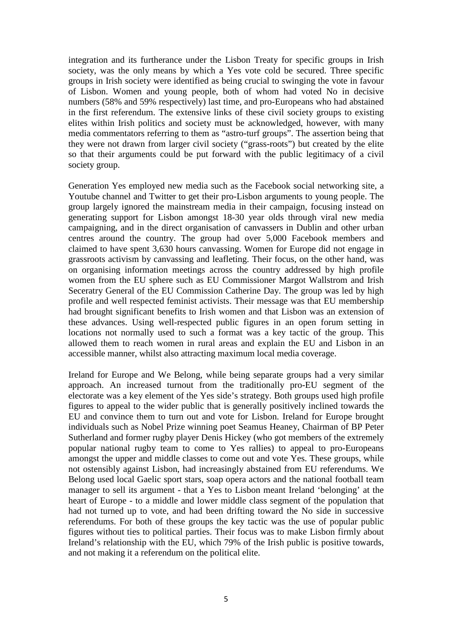integration and its furtherance under the Lisbon Treaty for specific groups in Irish society, was the only means by which a Yes vote cold be secured. Three specific groups in Irish society were identified as being crucial to swinging the vote in favour of Lisbon. Women and young people, both of whom had voted No in decisive numbers (58% and 59% respectively) last time, and pro-Europeans who had abstained in the first referendum. The extensive links of these civil society groups to existing elites within Irish politics and society must be acknowledged, however, with many media commentators referring to them as "astro-turf groups". The assertion being that they were not drawn from larger civil society ("grass-roots") but created by the elite so that their arguments could be put forward with the public legitimacy of a civil society group.

Generation Yes employed new media such as the Facebook social networking site, a Youtube channel and Twitter to get their pro-Lisbon arguments to young people. The group largely ignored the mainstream media in their campaign, focusing instead on generating support for Lisbon amongst 18-30 year olds through viral new media campaigning, and in the direct organisation of canvassers in Dublin and other urban centres around the country. The group had over 5,000 Facebook members and claimed to have spent 3,630 hours canvassing. Women for Europe did not engage in grassroots activism by canvassing and leafleting. Their focus, on the other hand, was on organising information meetings across the country addressed by high profile women from the EU sphere such as EU Commissioner Margot Wallstrom and Irish Seceratry General of the EU Commission Catherine Day. The group was led by high profile and well respected feminist activists. Their message was that EU membership had brought significant benefits to Irish women and that Lisbon was an extension of these advances. Using well-respected public figures in an open forum setting in locations not normally used to such a format was a key tactic of the group. This allowed them to reach women in rural areas and explain the EU and Lisbon in an accessible manner, whilst also attracting maximum local media coverage.

Ireland for Europe and We Belong, while being separate groups had a very similar approach. An increased turnout from the traditionally pro-EU segment of the electorate was a key element of the Yes side's strategy. Both groups used high profile figures to appeal to the wider public that is generally positively inclined towards the EU and convince them to turn out and vote for Lisbon. Ireland for Europe brought individuals such as Nobel Prize winning poet Seamus Heaney, Chairman of BP Peter Sutherland and former rugby player Denis Hickey (who got members of the extremely popular national rugby team to come to Yes rallies) to appeal to pro-Europeans amongst the upper and middle classes to come out and vote Yes. These groups, while not ostensibly against Lisbon, had increasingly abstained from EU referendums. We Belong used local Gaelic sport stars, soap opera actors and the national football team manager to sell its argument - that a Yes to Lisbon meant Ireland 'belonging' at the heart of Europe - to a middle and lower middle class segment of the population that had not turned up to vote, and had been drifting toward the No side in successive referendums. For both of these groups the key tactic was the use of popular public figures without ties to political parties. Their focus was to make Lisbon firmly about Ireland's relationship with the EU, which 79% of the Irish public is positive towards, and not making it a referendum on the political elite.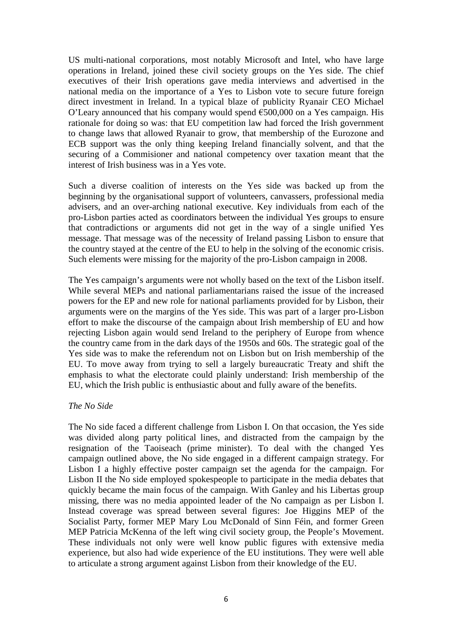US multi-national corporations, most notably Microsoft and Intel, who have large operations in Ireland, joined these civil society groups on the Yes side. The chief executives of their Irish operations gave media interviews and advertised in the national media on the importance of a Yes to Lisbon vote to secure future foreign direct investment in Ireland. In a typical blaze of publicity Ryanair CEO Michael O'Leary announced that his company would spend  $\epsilon$ 500,000 on a Yes campaign. His rationale for doing so was: that EU competition law had forced the Irish government to change laws that allowed Ryanair to grow, that membership of the Eurozone and ECB support was the only thing keeping Ireland financially solvent, and that the securing of a Commisioner and national competency over taxation meant that the interest of Irish business was in a Yes vote.

Such a diverse coalition of interests on the Yes side was backed up from the beginning by the organisational support of volunteers, canvassers, professional media advisers, and an over-arching national executive. Key individuals from each of the pro-Lisbon parties acted as coordinators between the individual Yes groups to ensure that contradictions or arguments did not get in the way of a single unified Yes message. That message was of the necessity of Ireland passing Lisbon to ensure that the country stayed at the centre of the EU to help in the solving of the economic crisis. Such elements were missing for the majority of the pro-Lisbon campaign in 2008.

The Yes campaign's arguments were not wholly based on the text of the Lisbon itself. While several MEPs and national parliamentarians raised the issue of the increased powers for the EP and new role for national parliaments provided for by Lisbon, their arguments were on the margins of the Yes side. This was part of a larger pro-Lisbon effort to make the discourse of the campaign about Irish membership of EU and how rejecting Lisbon again would send Ireland to the periphery of Europe from whence the country came from in the dark days of the 1950s and 60s. The strategic goal of the Yes side was to make the referendum not on Lisbon but on Irish membership of the EU. To move away from trying to sell a largely bureaucratic Treaty and shift the emphasis to what the electorate could plainly understand: Irish membership of the EU, which the Irish public is enthusiastic about and fully aware of the benefits.

#### *The No Side*

The No side faced a different challenge from Lisbon I. On that occasion, the Yes side was divided along party political lines, and distracted from the campaign by the resignation of the Taoiseach (prime minister). To deal with the changed Yes campaign outlined above, the No side engaged in a different campaign strategy. For Lisbon I a highly effective poster campaign set the agenda for the campaign. For Lisbon II the No side employed spokespeople to participate in the media debates that quickly became the main focus of the campaign. With Ganley and his Libertas group missing, there was no media appointed leader of the No campaign as per Lisbon I. Instead coverage was spread between several figures: Joe Higgins MEP of the Socialist Party, former MEP Mary Lou McDonald of Sinn Féin, and former Green MEP Patricia McKenna of the left wing civil society group, the People's Movement. These individuals not only were well know public figures with extensive media experience, but also had wide experience of the EU institutions. They were well able to articulate a strong argument against Lisbon from their knowledge of the EU.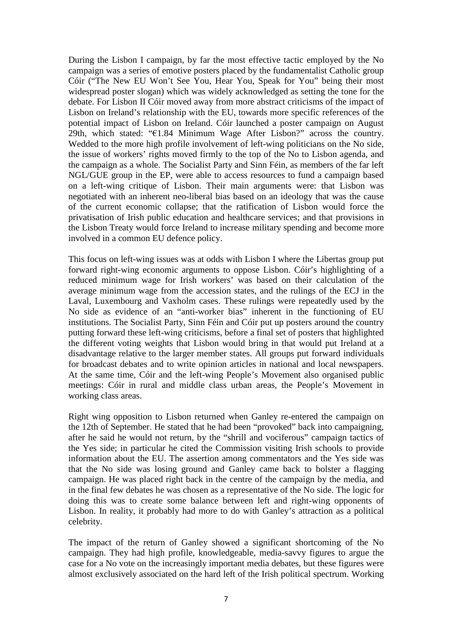During the Lisbon I campaign, by far the most effective tactic employed by the No campaign was a series of emotive posters placed by the fundamentalist Catholic group Cóir ("The New EU Won't See You, Hear You, Speak for You" being their most widespread poster slogan) which was widely acknowledged as setting the tone for the debate. For Lisbon II Cóir moved away from more abstract criticisms of the impact of Lisbon on Ireland's relationship with the EU, towards more specific references of the potential impact of Lisbon on Ireland. Cóir launched a poster campaign on August 29th, which stated: "€1.84 Minimum Wage After Lisbon?" across the country. Wedded to the more high profile involvement of left-wing politicians on the No side, the issue of workers' rights moved firmly to the top of the No to Lisbon agenda, and the campaign as a whole. The Socialist Party and Sinn Féin, as members of the far left NGL/GUE group in the EP, were able to access resources to fund a campaign based on a left-wing critique of Lisbon. Their main arguments were: that Lisbon was negotiated with an inherent neo-liberal bias based on an ideology that was the cause of the current economic collapse; that the ratification of Lisbon would force the privatisation of Irish public education and healthcare services; and that provisions in the Lisbon Treaty would force Ireland to increase military spending and become more involved in a common EU defence policy.

This focus on left-wing issues was at odds with Lisbon I where the Libertas group put forward right-wing economic arguments to oppose Lisbon. Cóir's highlighting of a reduced minimum wage for Irish workers' was based on their calculation of the average minimum wage from the accession states, and the rulings of the ECJ in the Laval, Luxembourg and Vaxholm cases. These rulings were repeatedly used by the No side as evidence of an "anti-worker bias" inherent in the functioning of EU institutions. The Socialist Party, Sinn Féin and Cóir put up posters around the country putting forward these left-wing criticisms, before a final set of posters that highlighted the different voting weights that Lisbon would bring in that would put Ireland at a disadvantage relative to the larger member states. All groups put forward individuals for broadcast debates and to write opinion articles in national and local newspapers. At the same time, Cóir and the left-wing People's Movement also organised public meetings: Cóir in rural and middle class urban areas, the People's Movement in working class areas.

Right wing opposition to Lisbon returned when Ganley re-entered the campaign on the 12th of September. He stated that he had been "provoked" back into campaigning, after he said he would not return, by the "shrill and vociferous" campaign tactics of the Yes side; in particular he cited the Commission visiting Irish schools to provide information about the EU. The assertion among commentators and the Yes side was that the No side was losing ground and Ganley came back to bolster a flagging campaign. He was placed right back in the centre of the campaign by the media, and in the final few debates he was chosen as a representative of the No side. The logic for doing this was to create some balance between left and right-wing opponents of Lisbon. In reality, it probably had more to do with Ganley's attraction as a political celebrity.

The impact of the return of Ganley showed a significant shortcoming of the No campaign. They had high profile, knowledgeable, media-savvy figures to argue the case for a No vote on the increasingly important media debates, but these figures were almost exclusively associated on the hard left of the Irish political spectrum. Working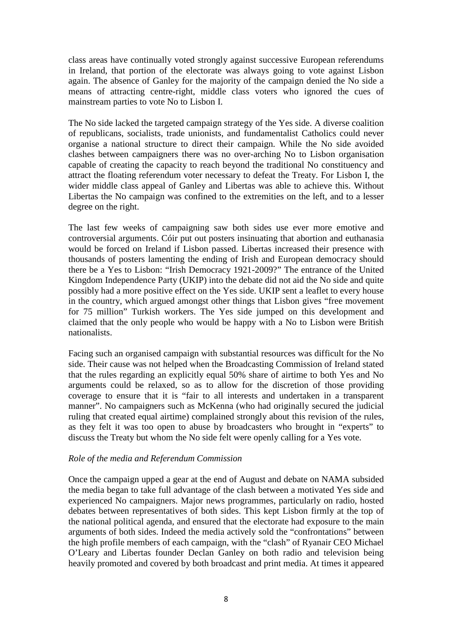class areas have continually voted strongly against successive European referendums in Ireland, that portion of the electorate was always going to vote against Lisbon again. The absence of Ganley for the majority of the campaign denied the No side a means of attracting centre-right, middle class voters who ignored the cues of mainstream parties to vote No to Lisbon I.

The No side lacked the targeted campaign strategy of the Yes side. A diverse coalition of republicans, socialists, trade unionists, and fundamentalist Catholics could never organise a national structure to direct their campaign. While the No side avoided clashes between campaigners there was no over-arching No to Lisbon organisation capable of creating the capacity to reach beyond the traditional No constituency and attract the floating referendum voter necessary to defeat the Treaty. For Lisbon I, the wider middle class appeal of Ganley and Libertas was able to achieve this. Without Libertas the No campaign was confined to the extremities on the left, and to a lesser degree on the right.

The last few weeks of campaigning saw both sides use ever more emotive and controversial arguments. Cóir put out posters insinuating that abortion and euthanasia would be forced on Ireland if Lisbon passed. Libertas increased their presence with thousands of posters lamenting the ending of Irish and European democracy should there be a Yes to Lisbon: "Irish Democracy 1921-2009?" The entrance of the United Kingdom Independence Party (UKIP) into the debate did not aid the No side and quite possibly had a more positive effect on the Yes side. UKIP sent a leaflet to every house in the country, which argued amongst other things that Lisbon gives "free movement for 75 million" Turkish workers. The Yes side jumped on this development and claimed that the only people who would be happy with a No to Lisbon were British nationalists.

Facing such an organised campaign with substantial resources was difficult for the No side. Their cause was not helped when the Broadcasting Commission of Ireland stated that the rules regarding an explicitly equal 50% share of airtime to both Yes and No arguments could be relaxed, so as to allow for the discretion of those providing coverage to ensure that it is "fair to all interests and undertaken in a transparent manner". No campaigners such as McKenna (who had originally secured the judicial ruling that created equal airtime) complained strongly about this revision of the rules, as they felt it was too open to abuse by broadcasters who brought in "experts" to discuss the Treaty but whom the No side felt were openly calling for a Yes vote.

### *Role of the media and Referendum Commission*

Once the campaign upped a gear at the end of August and debate on NAMA subsided the media began to take full advantage of the clash between a motivated Yes side and experienced No campaigners. Major news programmes, particularly on radio, hosted debates between representatives of both sides. This kept Lisbon firmly at the top of the national political agenda, and ensured that the electorate had exposure to the main arguments of both sides. Indeed the media actively sold the "confrontations" between the high profile members of each campaign, with the "clash" of Ryanair CEO Michael O'Leary and Libertas founder Declan Ganley on both radio and television being heavily promoted and covered by both broadcast and print media. At times it appeared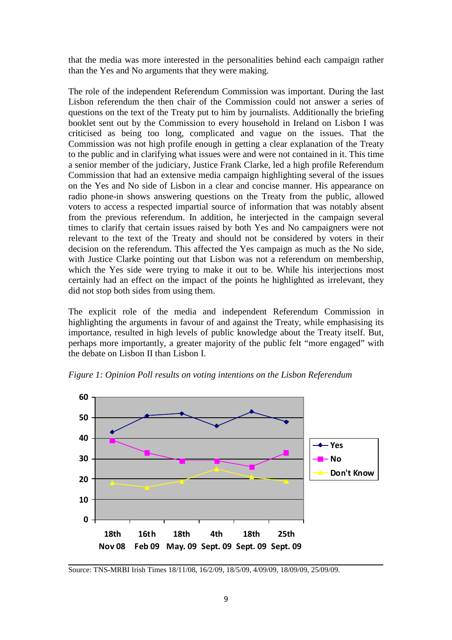that the media was more interested in the personalities behind each campaign rather than the Yes and No arguments that they were making.

The role of the independent Referendum Commission was important. During the last Lisbon referendum the then chair of the Commission could not answer a series of questions on the text of the Treaty put to him by journalists. Additionally the briefing booklet sent out by the Commission to every household in Ireland on Lisbon I was criticised as being too long, complicated and vague on the issues. That the Commission was not high profile enough in getting a clear explanation of the Treaty to the public and in clarifying what issues were and were not contained in it. This time a senior member of the judiciary, Justice Frank Clarke, led a high profile Referendum Commission that had an extensive media campaign highlighting several of the issues on the Yes and No side of Lisbon in a clear and concise manner. His appearance on radio phone-in shows answering questions on the Treaty from the public, allowed voters to access a respected impartial source of information that was notably absent from the previous referendum. In addition, he interjected in the campaign several times to clarify that certain issues raised by both Yes and No campaigners were not relevant to the text of the Treaty and should not be considered by voters in their decision on the referendum. This affected the Yes campaign as much as the No side, with Justice Clarke pointing out that Lisbon was not a referendum on membership, which the Yes side were trying to make it out to be. While his interjections most certainly had an effect on the impact of the points he highlighted as irrelevant, they did not stop both sides from using them.

The explicit role of the media and independent Referendum Commission in highlighting the arguments in favour of and against the Treaty, while emphasising its importance, resulted in high levels of public knowledge about the Treaty itself. But, perhaps more importantly, a greater majority of the public felt "more engaged" with the debate on Lisbon II than Lisbon I.

*Figure 1: Opinion Poll results on voting intentions on the Lisbon Referendum*



Source: TNS-MRBI Irish Times 18/11/08, 16/2/09, 18/5/09, 4/09/09, 18/09/09, 25/09/09.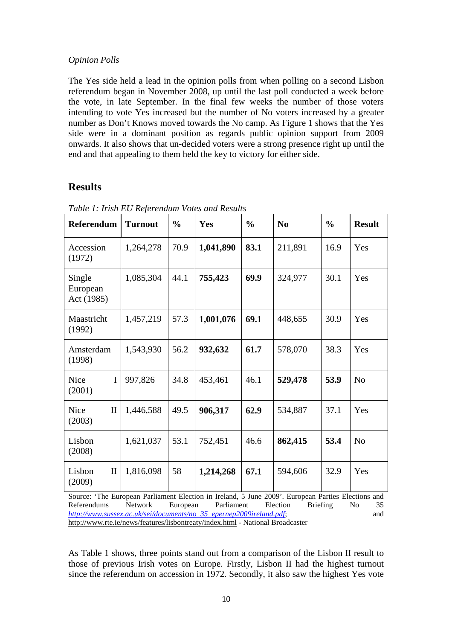### *Opinion Polls*

The Yes side held a lead in the opinion polls from when polling on a second Lisbon referendum began in November 2008, up until the last poll conducted a week before the vote, in late September. In the final few weeks the number of those voters intending to vote Yes increased but the number of No voters increased by a greater number as Don't Knows moved towards the No camp. As Figure 1 shows that the Yes side were in a dominant position as regards public opinion support from 2009 onwards. It also shows that un-decided voters were a strong presence right up until the end and that appealing to them held the key to victory for either side.

## **Results**

| <b>Referendum</b>                                                                                                                      | <b>Turnout</b> | $\frac{0}{0}$ | Yes       | $\frac{0}{0}$ | N <sub>0</sub> | $\frac{0}{0}$ | <b>Result</b>  |
|----------------------------------------------------------------------------------------------------------------------------------------|----------------|---------------|-----------|---------------|----------------|---------------|----------------|
| Accession<br>(1972)                                                                                                                    | 1,264,278      | 70.9          | 1,041,890 | 83.1          | 211,891        | 16.9          | Yes            |
| Single<br>European<br>Act (1985)                                                                                                       | 1,085,304      | 44.1          | 755,423   | 69.9          | 324,977        | 30.1          | Yes            |
| Maastricht<br>(1992)                                                                                                                   | 1,457,219      | 57.3          | 1,001,076 | 69.1          | 448,655        | 30.9          | Yes            |
| Amsterdam<br>(1998)                                                                                                                    | 1,543,930      | 56.2          | 932,632   | 61.7          | 578,070        | 38.3          | Yes            |
| Nice<br>$\mathbf I$<br>(2001)                                                                                                          | 997,826        | 34.8          | 453,461   | 46.1          | 529,478        | 53.9          | N <sub>o</sub> |
| Nice<br>$\mathbf{I}$<br>(2003)                                                                                                         | 1,446,588      | 49.5          | 906,317   | 62.9          | 534,887        | 37.1          | Yes            |
| Lisbon<br>(2008)                                                                                                                       | 1,621,037      | 53.1          | 752,451   | 46.6          | 862,415        | 53.4          | N <sub>o</sub> |
| Lisbon<br>$\mathbf{I}$<br>(2009)<br>Source: 'The European Parliament Election in Ireland, 5 June 2009', European Parties Elections and | 1,816,098      | 58            | 1,214,268 | 67.1          | 594,606        | 32.9          | Yes            |

*Table 1: Irish EU Referendum Votes and Results*

Source: 'The European Parliament Election in Ireland, 5 June 2009'. European Parties Elections and Referendums Network European Parliament Election Briefing No 35 *http://www.sussex.ac.uk/sei/documents/no\_35\_epernep2009ireland.pdf*; and http://www.rte.ie/news/features/lisbontreaty/index.html - National Broadcaster

As Table 1 shows, three points stand out from a comparison of the Lisbon II result to those of previous Irish votes on Europe. Firstly, Lisbon II had the highest turnout since the referendum on accession in 1972. Secondly, it also saw the highest Yes vote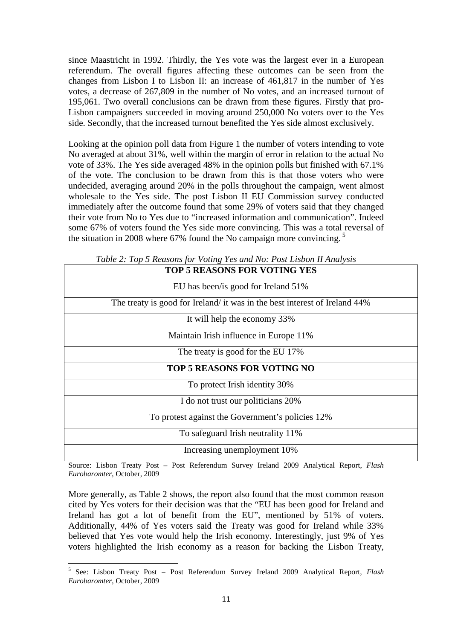since Maastricht in 1992. Thirdly, the Yes vote was the largest ever in a European referendum. The overall figures affecting these outcomes can be seen from the changes from Lisbon I to Lisbon II: an increase of 461,817 in the number of Yes votes, a decrease of 267,809 in the number of No votes, and an increased turnout of 195,061. Two overall conclusions can be drawn from these figures. Firstly that pro-Lisbon campaigners succeeded in moving around 250,000 No voters over to the Yes side. Secondly, that the increased turnout benefited the Yes side almost exclusively.

Looking at the opinion poll data from Figure 1 the number of voters intending to vote No averaged at about 31%, well within the margin of error in relation to the actual No vote of 33%. The Yes side averaged 48% in the opinion polls but finished with 67.1% of the vote. The conclusion to be drawn from this is that those voters who were undecided, averaging around 20% in the polls throughout the campaign, went almost wholesale to the Yes side. The post Lisbon II EU Commission survey conducted immediately after the outcome found that some 29% of voters said that they changed their vote from No to Yes due to "increased information and communication". Indeed some 67% of voters found the Yes side more convincing. This was a total reversal of the situation in 2008 where 67% found the No campaign more convincing.<sup>5</sup>

| <b>TOP 5 REASONS FOR VOTING YES</b>                                        |
|----------------------------------------------------------------------------|
| EU has been/is good for Ireland 51%                                        |
| The treaty is good for Ireland/ it was in the best interest of Ireland 44% |
| It will help the economy 33%                                               |
| Maintain Irish influence in Europe 11%                                     |
| The treaty is good for the EU 17%                                          |
| <b>TOP 5 REASONS FOR VOTING NO</b>                                         |
| To protect Irish identity 30%                                              |
| I do not trust our politicians 20%                                         |
| To protest against the Government's policies 12%                           |
| To safeguard Irish neutrality 11%                                          |
| Increasing unemployment 10%                                                |

*Table 2: Top 5 Reasons for Voting Yes and No: Post Lisbon II Analysis*

Source: Lisbon Treaty Post – Post Referendum Survey Ireland 2009 Analytical Report, *Flash Eurobaromter*, October, 2009

More generally, as Table 2 shows, the report also found that the most common reason cited by Yes voters for their decision was that the "EU has been good for Ireland and Ireland has got a lot of benefit from the EU", mentioned by 51% of voters. Additionally, 44% of Yes voters said the Treaty was good for Ireland while 33% believed that Yes vote would help the Irish economy. Interestingly, just 9% of Yes voters highlighted the Irish economy as a reason for backing the Lisbon Treaty,

<sup>5</sup> See: Lisbon Treaty Post – Post Referendum Survey Ireland 2009 Analytical Report, *Flash Eurobaromter*, October, 2009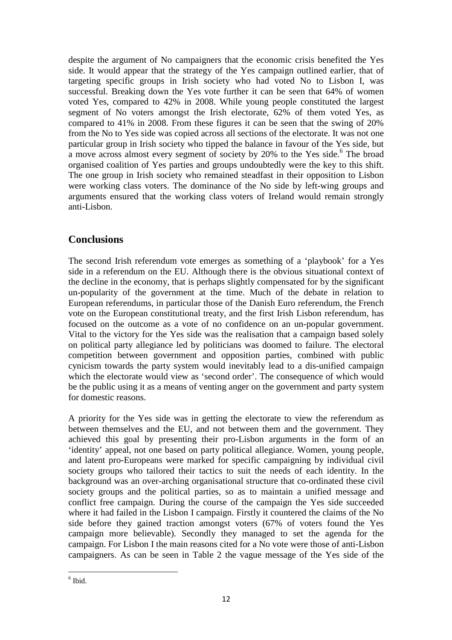despite the argument of No campaigners that the economic crisis benefited the Yes side. It would appear that the strategy of the Yes campaign outlined earlier, that of targeting specific groups in Irish society who had voted No to Lisbon I, was successful. Breaking down the Yes vote further it can be seen that 64% of women voted Yes, compared to 42% in 2008. While young people constituted the largest segment of No voters amongst the Irish electorate, 62% of them voted Yes, as compared to 41% in 2008. From these figures it can be seen that the swing of 20% from the No to Yes side was copied across all sections of the electorate. It was not one particular group in Irish society who tipped the balance in favour of the Yes side, but a move across almost every segment of society by 20% to the Yes side.<sup>6</sup> The broad organised coalition of Yes parties and groups undoubtedly were the key to this shift. The one group in Irish society who remained steadfast in their opposition to Lisbon were working class voters. The dominance of the No side by left-wing groups and arguments ensured that the working class voters of Ireland would remain strongly anti-Lisbon.

# **Conclusions**

The second Irish referendum vote emerges as something of a 'playbook' for a Yes side in a referendum on the EU. Although there is the obvious situational context of the decline in the economy, that is perhaps slightly compensated for by the significant un-popularity of the government at the time. Much of the debate in relation to European referendums, in particular those of the Danish Euro referendum, the French vote on the European constitutional treaty, and the first Irish Lisbon referendum, has focused on the outcome as a vote of no confidence on an un-popular government. Vital to the victory for the Yes side was the realisation that a campaign based solely on political party allegiance led by politicians was doomed to failure. The electoral competition between government and opposition parties, combined with public cynicism towards the party system would inevitably lead to a dis-unified campaign which the electorate would view as 'second order'. The consequence of which would be the public using it as a means of venting anger on the government and party system for domestic reasons.

A priority for the Yes side was in getting the electorate to view the referendum as between themselves and the EU, and not between them and the government. They achieved this goal by presenting their pro-Lisbon arguments in the form of an 'identity' appeal, not one based on party political allegiance. Women, young people, and latent pro-Europeans were marked for specific campaigning by individual civil society groups who tailored their tactics to suit the needs of each identity. In the background was an over-arching organisational structure that co-ordinated these civil society groups and the political parties, so as to maintain a unified message and conflict free campaign. During the course of the campaign the Yes side succeeded where it had failed in the Lisbon I campaign. Firstly it countered the claims of the No side before they gained traction amongst voters (67% of voters found the Yes campaign more believable). Secondly they managed to set the agenda for the campaign. For Lisbon I the main reasons cited for a No vote were those of anti-Lisbon campaigners. As can be seen in Table 2 the vague message of the Yes side of the